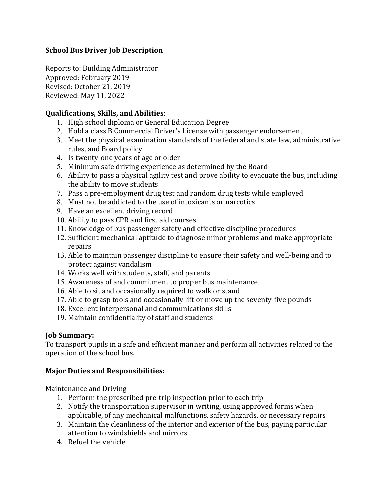#### **School Bus Driver Job Description**

Reports to: Building Administrator Approved: February 2019 Revised: October 21, 2019 Reviewed: May 11, 2022

#### **Qualifications, Skills, and Abilities**:

- 1. High school diploma or General Education Degree
- 2. Hold a class B Commercial Driver's License with passenger endorsement
- 3. Meet the physical examination standards of the federal and state law, administrative rules, and Board policy
- 4. Is twenty-one years of age or older
- 5. Minimum safe driving experience as determined by the Board
- 6. Ability to pass a physical agility test and prove ability to evacuate the bus, including the ability to move students
- 7. Pass a pre-employment drug test and random drug tests while employed
- 8. Must not be addicted to the use of intoxicants or narcotics
- 9. Have an excellent driving record
- 10. Ability to pass CPR and first aid courses
- 11. Knowledge of bus passenger safety and effective discipline procedures
- 12. Sufficient mechanical aptitude to diagnose minor problems and make appropriate repairs
- 13. Able to maintain passenger discipline to ensure their safety and well-being and to protect against vandalism
- 14. Works well with students, staff, and parents
- 15. Awareness of and commitment to proper bus maintenance
- 16. Able to sit and occasionally required to walk or stand
- 17. Able to grasp tools and occasionally lift or move up the seventy-five pounds
- 18. Excellent interpersonal and communications skills
- 19. Maintain confidentiality of staff and students

## **Job Summary:**

To transport pupils in a safe and efficient manner and perform all activities related to the operation of the school bus.

## **Major Duties and Responsibilities:**

Maintenance and Driving

- 1. Perform the prescribed pre-trip inspection prior to each trip
- 2. Notify the transportation supervisor in writing, using approved forms when applicable, of any mechanical malfunctions, safety hazards, or necessary repairs
- 3. Maintain the cleanliness of the interior and exterior of the bus, paying particular attention to windshields and mirrors
- 4. Refuel the vehicle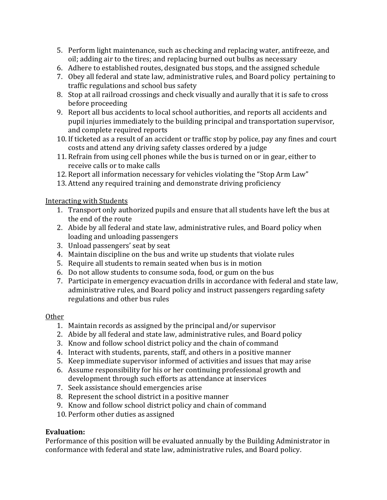- 5. Perform light maintenance, such as checking and replacing water, antifreeze, and oil; adding air to the tires; and replacing burned out bulbs as necessary
- 6. Adhere to established routes, designated bus stops, and the assigned schedule
- 7. Obey all federal and state law, administrative rules, and Board policy pertaining to traffic regulations and school bus safety
- 8. Stop at all railroad crossings and check visually and aurally that it is safe to cross before proceeding
- 9. Report all bus accidents to local school authorities, and reports all accidents and pupil injuries immediately to the building principal and transportation supervisor, and complete required reports
- 10. If ticketed as a result of an accident or traffic stop by police, pay any fines and court costs and attend any driving safety classes ordered by a judge
- 11. Refrain from using cell phones while the bus is turned on or in gear, either to receive calls or to make calls
- 12. Report all information necessary for vehicles violating the "Stop Arm Law"
- 13. Attend any required training and demonstrate driving proficiency

Interacting with Students

- 1. Transport only authorized pupils and ensure that all students have left the bus at the end of the route
- 2. Abide by all federal and state law, administrative rules, and Board policy when loading and unloading passengers
- 3. Unload passengers' seat by seat
- 4. Maintain discipline on the bus and write up students that violate rules
- 5. Require all students to remain seated when bus is in motion
- 6. Do not allow students to consume soda, food, or gum on the bus
- 7. Participate in emergency evacuation drills in accordance with federal and state law, administrative rules, and Board policy and instruct passengers regarding safety regulations and other bus rules

## **Other**

- 1. Maintain records as assigned by the principal and/or supervisor
- 2. Abide by all federal and state law, administrative rules, and Board policy
- 3. Know and follow school district policy and the chain of command
- 4. Interact with students, parents, staff, and others in a positive manner
- 5. Keep immediate supervisor informed of activities and issues that may arise
- 6. Assume responsibility for his or her continuing professional growth and development through such efforts as attendance at inservices
- 7. Seek assistance should emergencies arise
- 8. Represent the school district in a positive manner
- 9. Know and follow school district policy and chain of command
- 10. Perform other duties as assigned

# **Evaluation:**

Performance of this position will be evaluated annually by the Building Administrator in conformance with federal and state law, administrative rules, and Board policy.